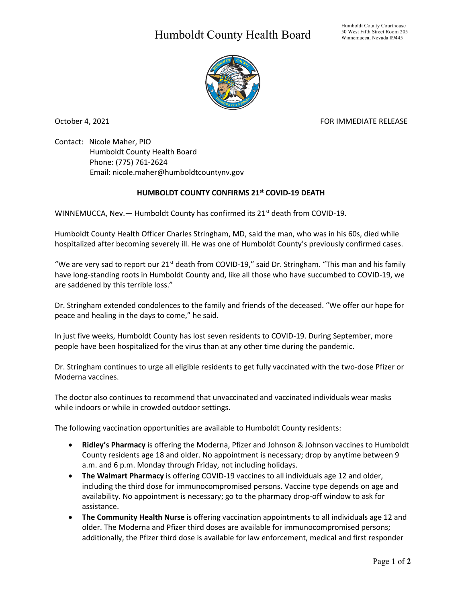## Humboldt County Health Board



October 4, 2021 **FOR IMMEDIATE RELEASE** 

Contact: Nicole Maher, PIO Humboldt County Health Board Phone: (775) 761-2624 Email: nicole.maher@humboldtcountynv.gov

## **HUMBOLDT COUNTY CONFIRMS 21st COVID-19 DEATH**

WINNEMUCCA, Nev. - Humboldt County has confirmed its 21<sup>st</sup> death from COVID-19.

Humboldt County Health Officer Charles Stringham, MD, said the man, who was in his 60s, died while hospitalized after becoming severely ill. He was one of Humboldt County's previously confirmed cases.

"We are very sad to report our 21<sup>st</sup> death from COVID-19," said Dr. Stringham. "This man and his family have long-standing roots in Humboldt County and, like all those who have succumbed to COVID-19, we are saddened by this terrible loss."

Dr. Stringham extended condolences to the family and friends of the deceased. "We offer our hope for peace and healing in the days to come," he said.

In just five weeks, Humboldt County has lost seven residents to COVID-19. During September, more people have been hospitalized for the virus than at any other time during the pandemic.

Dr. Stringham continues to urge all eligible residents to get fully vaccinated with the two-dose Pfizer or Moderna vaccines.

The doctor also continues to recommend that unvaccinated and vaccinated individuals wear masks while indoors or while in crowded outdoor settings.

The following vaccination opportunities are available to Humboldt County residents:

- **Ridley's Pharmacy** is offering the Moderna, Pfizer and Johnson & Johnson vaccines to Humboldt County residents age 18 and older. No appointment is necessary; drop by anytime between 9 a.m. and 6 p.m. Monday through Friday, not including holidays.
- **The Walmart Pharmacy** is offering COVID-19 vaccines to all individuals age 12 and older, including the third dose for immunocompromised persons. Vaccine type depends on age and availability. No appointment is necessary; go to the pharmacy drop-off window to ask for assistance.
- **The Community Health Nurse** is offering vaccination appointments to all individuals age 12 and older. The Moderna and Pfizer third doses are available for immunocompromised persons; additionally, the Pfizer third dose is available for law enforcement, medical and first responder